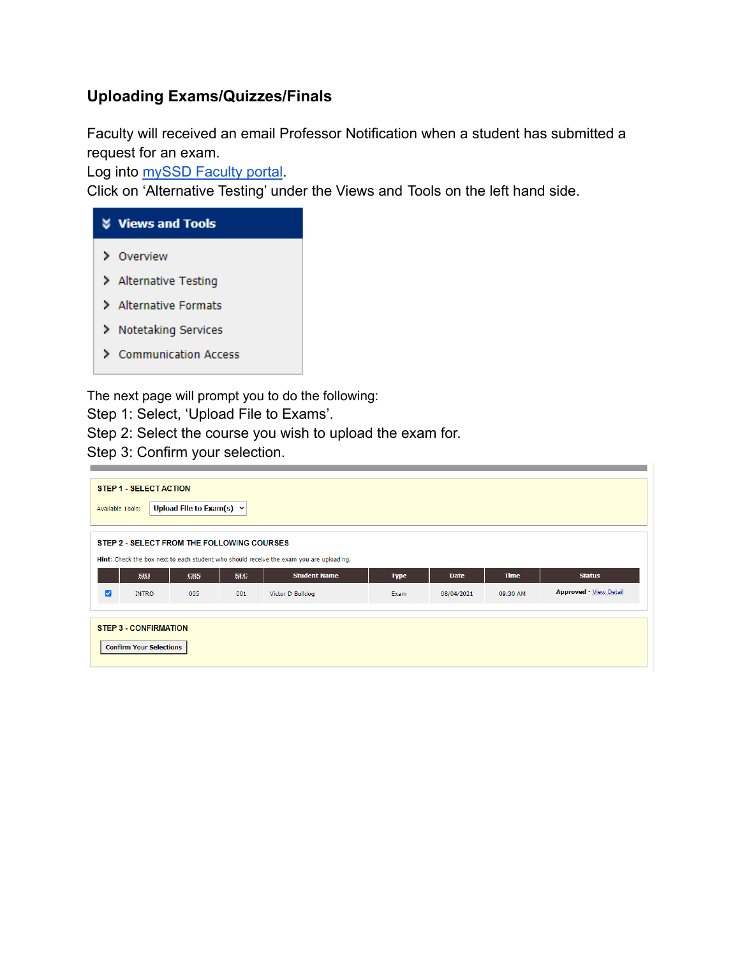## **Uploading Exams/Quizzes/Finals**

Faculty will received an email Professor Notification when a student has submitted a request for an exam.

Log into **[mySSD Faculty portal](https://elbert.accessiblelearning.com/FresnoState/Instructor/)**.

Click on 'Alternative Testing' under the Views and Tools on the left hand side.



The next page will prompt you to do the following:

- Step 1: Select, 'Upload File to Exams'.
- Step 2: Select the course you wish to upload the exam for.
- Step 3: Confirm your selection.

| STEP 1 - SELECT ACTION<br>Upload File to Exam(s) $\vee$<br><b>Available Tools:</b>                                                    |                 |            |            |                     |             |             |             |                               |
|---------------------------------------------------------------------------------------------------------------------------------------|-----------------|------------|------------|---------------------|-------------|-------------|-------------|-------------------------------|
| STEP 2 - SELECT FROM THE FOLLOWING COURSES<br>Hint: Check the box next to each student who should receive the exam you are uploading. |                 |            |            |                     |             |             |             |                               |
|                                                                                                                                       | SB <sub>J</sub> | <b>CRS</b> | <b>SEC</b> | <b>Student Name</b> | <b>Type</b> | <b>Date</b> | <b>Time</b> | <b>Status</b>                 |
| $\overline{\mathbf{z}}$                                                                                                               | <b>INTRO</b>    | 005        | 001        | Victor D Bulldog    | Exam        | 08/04/2021  | 09:30 AM    | <b>Approved - View Detail</b> |
| <b>STEP 3 CONFIRMATION</b><br><b>Confirm Your Selections</b>                                                                          |                 |            |            |                     |             |             |             |                               |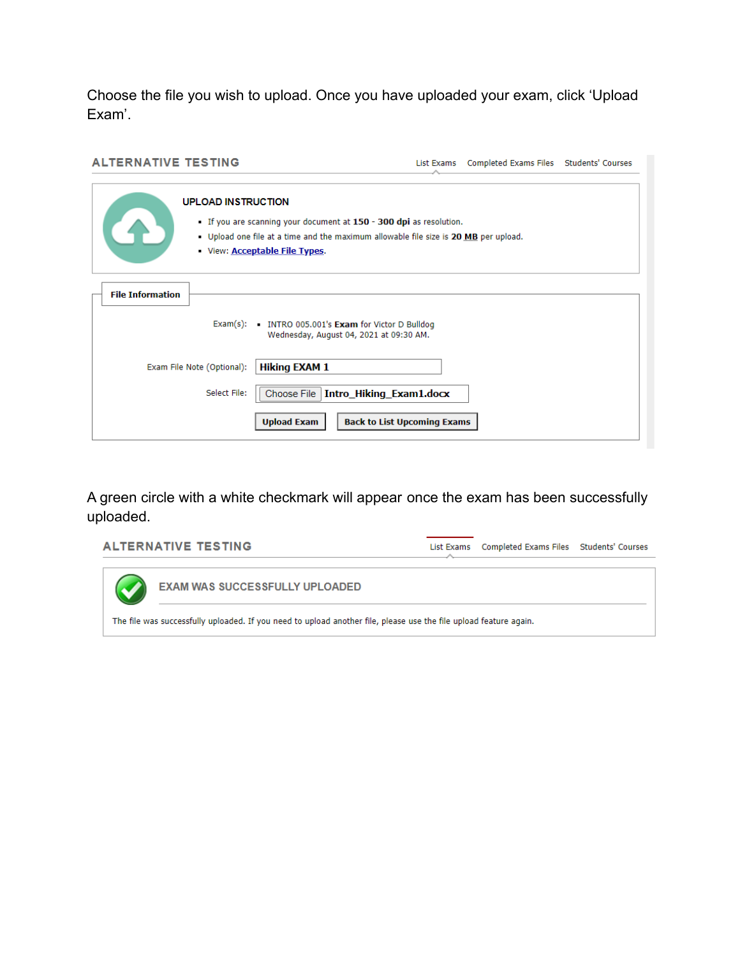Choose the file you wish to upload. Once you have uploaded your exam, click 'Upload Exam'.

| <b>ALTERNATIVE TESTING</b>                                        | List Exams                                                                                                                                                | Completed Exams Files Students' Courses |  |
|-------------------------------------------------------------------|-----------------------------------------------------------------------------------------------------------------------------------------------------------|-----------------------------------------|--|
| <b>UPLOAD INSTRUCTION</b><br>View: <b>Acceptable File Types</b> . | If you are scanning your document at 150 - 300 dpi as resolution.<br>- Upload one file at a time and the maximum allowable file size is 20 MB per upload. |                                         |  |
| <b>File Information</b>                                           | Exam(s): INTRO 005.001's Exam for Victor D Bulldog<br>Wednesday, August 04, 2021 at 09:30 AM.                                                             |                                         |  |
| Exam File Note (Optional):<br>Select File:                        | <b>Hiking EXAM 1</b><br>Choose File<br>Intro_Hiking_Exam1.docx                                                                                            |                                         |  |
|                                                                   | <b>Back to List Upcoming Exams</b><br><b>Upload Exam</b>                                                                                                  |                                         |  |

A green circle with a white checkmark will appear once the exam has been successfully uploaded.